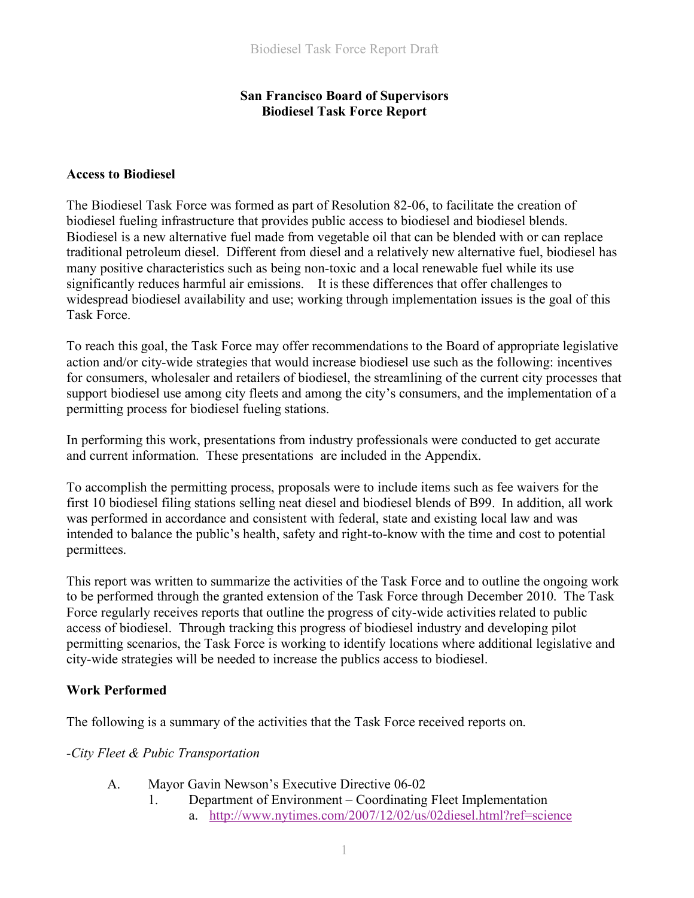## **San Francisco Board of Supervisors Biodiesel Task Force Report**

#### **Access to Biodiesel**

The Biodiesel Task Force was formed as part of Resolution 82-06, to facilitate the creation of biodiesel fueling infrastructure that provides public access to biodiesel and biodiesel blends. Biodiesel is a new alternative fuel made from vegetable oil that can be blended with or can replace traditional petroleum diesel. Different from diesel and a relatively new alternative fuel, biodiesel has many positive characteristics such as being non-toxic and a local renewable fuel while its use significantly reduces harmful air emissions. It is these differences that offer challenges to widespread biodiesel availability and use; working through implementation issues is the goal of this Task Force.

To reach this goal, the Task Force may offer recommendations to the Board of appropriate legislative action and/or city-wide strategies that would increase biodiesel use such as the following: incentives for consumers, wholesaler and retailers of biodiesel, the streamlining of the current city processes that support biodiesel use among city fleets and among the city's consumers, and the implementation of a permitting process for biodiesel fueling stations.

In performing this work, presentations from industry professionals were conducted to get accurate and current information. These presentations are included in the Appendix.

To accomplish the permitting process, proposals were to include items such as fee waivers for the first 10 biodiesel filing stations selling neat diesel and biodiesel blends of B99. In addition, all work was performed in accordance and consistent with federal, state and existing local law and was intended to balance the public's health, safety and right-to-know with the time and cost to potential permittees.

This report was written to summarize the activities of the Task Force and to outline the ongoing work to be performed through the granted extension of the Task Force through December 2010. The Task Force regularly receives reports that outline the progress of city-wide activities related to public access of biodiesel. Through tracking this progress of biodiesel industry and developing pilot permitting scenarios, the Task Force is working to identify locations where additional legislative and city-wide strategies will be needed to increase the publics access to biodiesel.

### **Work Performed**

The following is a summary of the activities that the Task Force received reports on.

#### *-City Fleet & Pubic Transportation*

- A. Mayor Gavin Newson's Executive Directive 06-02
	- 1. Department of Environment Coordinating Fleet Implementation a. http://www.nytimes.com/2007/12/02/us/02diesel.html?ref=science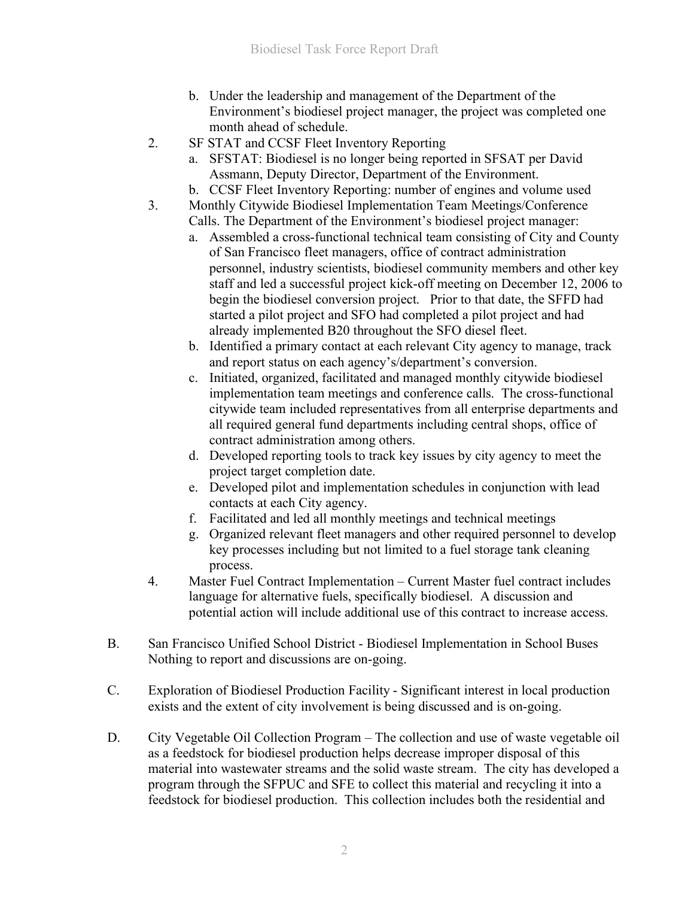- b. Under the leadership and management of the Department of the Environment's biodiesel project manager, the project was completed one month ahead of schedule.
- 2. SF STAT and CCSF Fleet Inventory Reporting
	- a. SFSTAT: Biodiesel is no longer being reported in SFSAT per David Assmann, Deputy Director, Department of the Environment.
	- b. CCSF Fleet Inventory Reporting: number of engines and volume used
- 3. Monthly Citywide Biodiesel Implementation Team Meetings/Conference Calls. The Department of the Environment's biodiesel project manager:
	- a. Assembled a cross-functional technical team consisting of City and County of San Francisco fleet managers, office of contract administration personnel, industry scientists, biodiesel community members and other key staff and led a successful project kick-off meeting on December 12, 2006 to begin the biodiesel conversion project. Prior to that date, the SFFD had started a pilot project and SFO had completed a pilot project and had already implemented B20 throughout the SFO diesel fleet.
	- b. Identified a primary contact at each relevant City agency to manage, track and report status on each agency's/department's conversion.
	- c. Initiated, organized, facilitated and managed monthly citywide biodiesel implementation team meetings and conference calls. The cross-functional citywide team included representatives from all enterprise departments and all required general fund departments including central shops, office of contract administration among others.
	- d. Developed reporting tools to track key issues by city agency to meet the project target completion date.
	- e. Developed pilot and implementation schedules in conjunction with lead contacts at each City agency.
	- f. Facilitated and led all monthly meetings and technical meetings
	- g. Organized relevant fleet managers and other required personnel to develop key processes including but not limited to a fuel storage tank cleaning process.
- 4. Master Fuel Contract Implementation Current Master fuel contract includes language for alternative fuels, specifically biodiesel. A discussion and potential action will include additional use of this contract to increase access.
- B. San Francisco Unified School District Biodiesel Implementation in School Buses Nothing to report and discussions are on-going.
- C. Exploration of Biodiesel Production Facility Significant interest in local production exists and the extent of city involvement is being discussed and is on-going.
- D. City Vegetable Oil Collection Program The collection and use of waste vegetable oil as a feedstock for biodiesel production helps decrease improper disposal of this material into wastewater streams and the solid waste stream. The city has developed a program through the SFPUC and SFE to collect this material and recycling it into a feedstock for biodiesel production. This collection includes both the residential and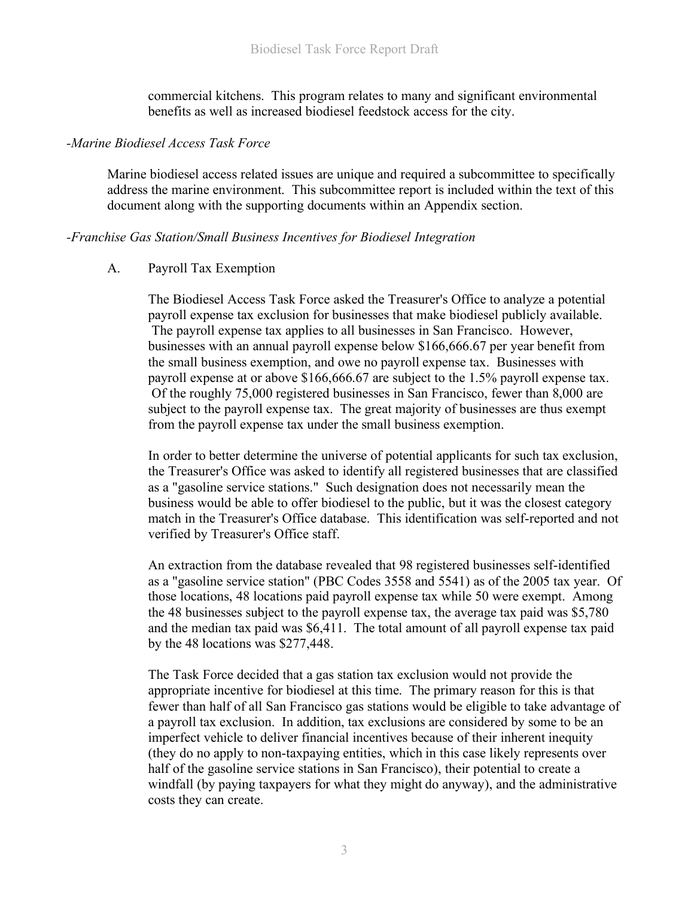commercial kitchens. This program relates to many and significant environmental benefits as well as increased biodiesel feedstock access for the city.

#### *-Marine Biodiesel Access Task Force*

Marine biodiesel access related issues are unique and required a subcommittee to specifically address the marine environment. This subcommittee report is included within the text of this document along with the supporting documents within an Appendix section.

#### *-Franchise Gas Station/Small Business Incentives for Biodiesel Integration*

### A. Payroll Tax Exemption

The Biodiesel Access Task Force asked the Treasurer's Office to analyze a potential payroll expense tax exclusion for businesses that make biodiesel publicly available. The payroll expense tax applies to all businesses in San Francisco. However, businesses with an annual payroll expense below \$166,666.67 per year benefit from the small business exemption, and owe no payroll expense tax. Businesses with payroll expense at or above \$166,666.67 are subject to the 1.5% payroll expense tax. Of the roughly 75,000 registered businesses in San Francisco, fewer than 8,000 are subject to the payroll expense tax. The great majority of businesses are thus exempt from the payroll expense tax under the small business exemption.

In order to better determine the universe of potential applicants for such tax exclusion, the Treasurer's Office was asked to identify all registered businesses that are classified as a "gasoline service stations." Such designation does not necessarily mean the business would be able to offer biodiesel to the public, but it was the closest category match in the Treasurer's Office database. This identification was self-reported and not verified by Treasurer's Office staff.

An extraction from the database revealed that 98 registered businesses self-identified as a "gasoline service station" (PBC Codes 3558 and 5541) as of the 2005 tax year. Of those locations, 48 locations paid payroll expense tax while 50 were exempt. Among the 48 businesses subject to the payroll expense tax, the average tax paid was \$5,780 and the median tax paid was \$6,411. The total amount of all payroll expense tax paid by the 48 locations was \$277,448.

The Task Force decided that a gas station tax exclusion would not provide the appropriate incentive for biodiesel at this time. The primary reason for this is that fewer than half of all San Francisco gas stations would be eligible to take advantage of a payroll tax exclusion. In addition, tax exclusions are considered by some to be an imperfect vehicle to deliver financial incentives because of their inherent inequity (they do no apply to non-taxpaying entities, which in this case likely represents over half of the gasoline service stations in San Francisco), their potential to create a windfall (by paying taxpayers for what they might do anyway), and the administrative costs they can create.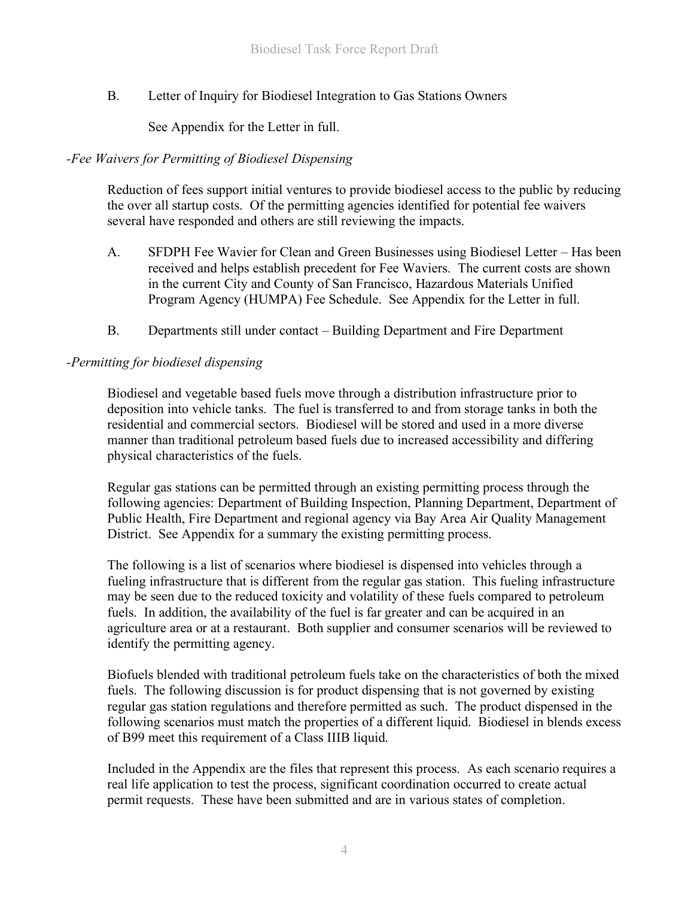B. Letter of Inquiry for Biodiesel Integration to Gas Stations Owners

See Appendix for the Letter in full.

## *-Fee Waivers for Permitting of Biodiesel Dispensing*

Reduction of fees support initial ventures to provide biodiesel access to the public by reducing the over all startup costs. Of the permitting agencies identified for potential fee waivers several have responded and others are still reviewing the impacts.

- A. SFDPH Fee Wavier for Clean and Green Businesses using Biodiesel Letter Has been received and helps establish precedent for Fee Waviers. The current costs are shown in the current City and County of San Francisco, Hazardous Materials Unified Program Agency (HUMPA) Fee Schedule. See Appendix for the Letter in full.
- B. Departments still under contact Building Department and Fire Department

### *-Permitting for biodiesel dispensing*

Biodiesel and vegetable based fuels move through a distribution infrastructure prior to deposition into vehicle tanks. The fuel is transferred to and from storage tanks in both the residential and commercial sectors. Biodiesel will be stored and used in a more diverse manner than traditional petroleum based fuels due to increased accessibility and differing physical characteristics of the fuels.

Regular gas stations can be permitted through an existing permitting process through the following agencies: Department of Building Inspection, Planning Department, Department of Public Health, Fire Department and regional agency via Bay Area Air Quality Management District. See Appendix for a summary the existing permitting process.

The following is a list of scenarios where biodiesel is dispensed into vehicles through a fueling infrastructure that is different from the regular gas station. This fueling infrastructure may be seen due to the reduced toxicity and volatility of these fuels compared to petroleum fuels. In addition, the availability of the fuel is far greater and can be acquired in an agriculture area or at a restaurant. Both supplier and consumer scenarios will be reviewed to identify the permitting agency.

Biofuels blended with traditional petroleum fuels take on the characteristics of both the mixed fuels. The following discussion is for product dispensing that is not governed by existing regular gas station regulations and therefore permitted as such. The product dispensed in the following scenarios must match the properties of a different liquid. Biodiesel in blends excess of B99 meet this requirement of a Class IIIB liquid.

Included in the Appendix are the files that represent this process. As each scenario requires a real life application to test the process, significant coordination occurred to create actual permit requests. These have been submitted and are in various states of completion.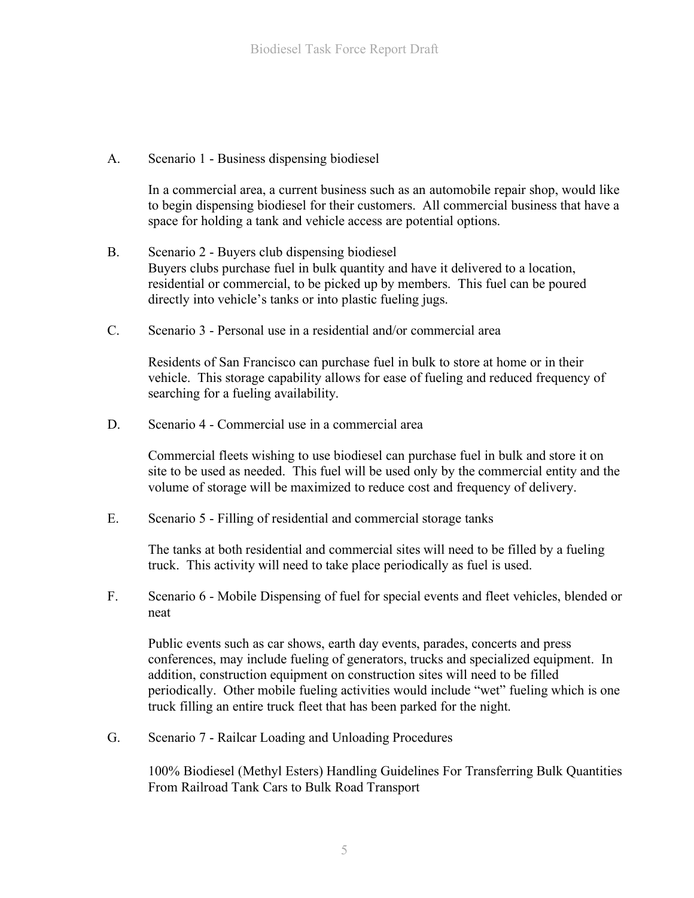A. Scenario 1 - Business dispensing biodiesel

In a commercial area, a current business such as an automobile repair shop, would like to begin dispensing biodiesel for their customers. All commercial business that have a space for holding a tank and vehicle access are potential options.

- B. Scenario 2 Buyers club dispensing biodiesel Buyers clubs purchase fuel in bulk quantity and have it delivered to a location, residential or commercial, to be picked up by members. This fuel can be poured directly into vehicle's tanks or into plastic fueling jugs.
- C. Scenario 3 Personal use in a residential and/or commercial area

Residents of San Francisco can purchase fuel in bulk to store at home or in their vehicle. This storage capability allows for ease of fueling and reduced frequency of searching for a fueling availability.

D. Scenario 4 - Commercial use in a commercial area

Commercial fleets wishing to use biodiesel can purchase fuel in bulk and store it on site to be used as needed. This fuel will be used only by the commercial entity and the volume of storage will be maximized to reduce cost and frequency of delivery.

E. Scenario 5 - Filling of residential and commercial storage tanks

The tanks at both residential and commercial sites will need to be filled by a fueling truck. This activity will need to take place periodically as fuel is used.

F. Scenario 6 - Mobile Dispensing of fuel for special events and fleet vehicles, blended or neat

Public events such as car shows, earth day events, parades, concerts and press conferences, may include fueling of generators, trucks and specialized equipment. In addition, construction equipment on construction sites will need to be filled periodically. Other mobile fueling activities would include "wet" fueling which is one truck filling an entire truck fleet that has been parked for the night.

G. Scenario 7 - Railcar Loading and Unloading Procedures

100% Biodiesel (Methyl Esters) Handling Guidelines For Transferring Bulk Quantities From Railroad Tank Cars to Bulk Road Transport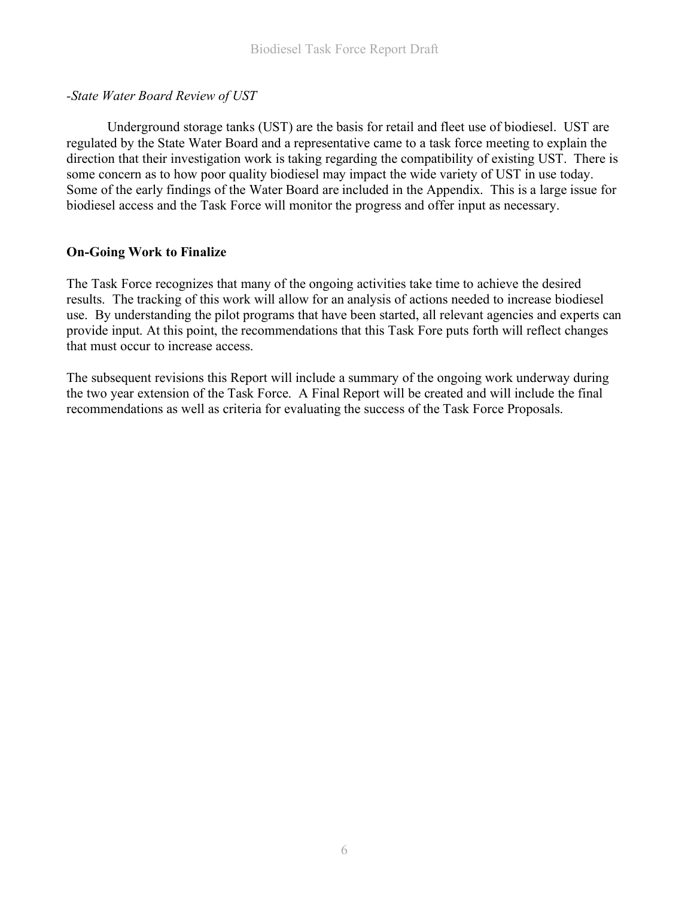## *-State Water Board Review of UST*

Underground storage tanks (UST) are the basis for retail and fleet use of biodiesel. UST are regulated by the State Water Board and a representative came to a task force meeting to explain the direction that their investigation work is taking regarding the compatibility of existing UST. There is some concern as to how poor quality biodiesel may impact the wide variety of UST in use today. Some of the early findings of the Water Board are included in the Appendix. This is a large issue for biodiesel access and the Task Force will monitor the progress and offer input as necessary.

## **On-Going Work to Finalize**

The Task Force recognizes that many of the ongoing activities take time to achieve the desired results. The tracking of this work will allow for an analysis of actions needed to increase biodiesel use. By understanding the pilot programs that have been started, all relevant agencies and experts can provide input. At this point, the recommendations that this Task Fore puts forth will reflect changes that must occur to increase access.

The subsequent revisions this Report will include a summary of the ongoing work underway during the two year extension of the Task Force. A Final Report will be created and will include the final recommendations as well as criteria for evaluating the success of the Task Force Proposals.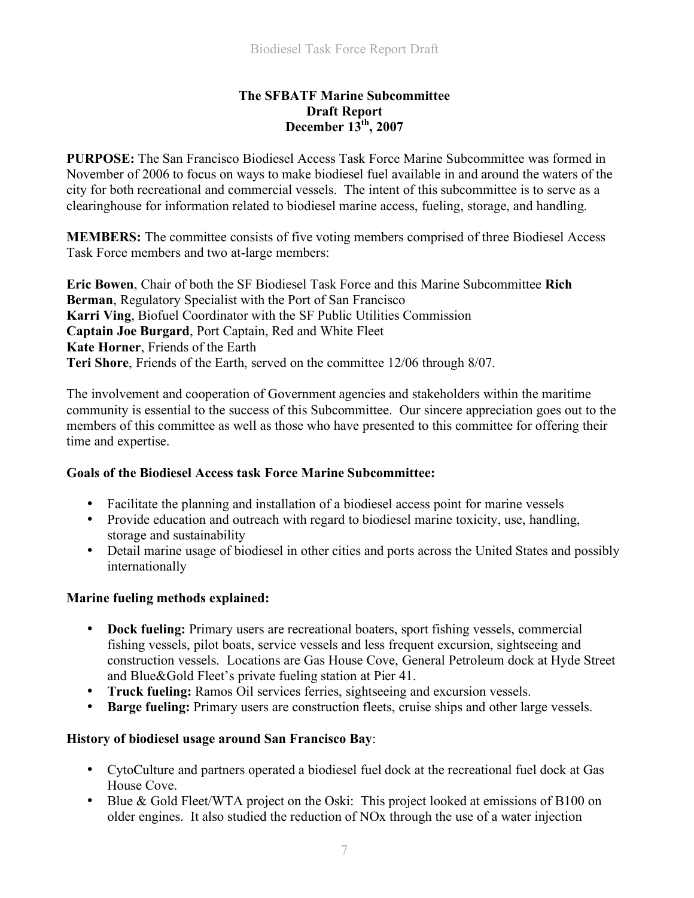### **The SFBATF Marine Subcommittee Draft Report December 13th, 2007**

**PURPOSE:** The San Francisco Biodiesel Access Task Force Marine Subcommittee was formed in November of 2006 to focus on ways to make biodiesel fuel available in and around the waters of the city for both recreational and commercial vessels. The intent of this subcommittee is to serve as a clearinghouse for information related to biodiesel marine access, fueling, storage, and handling.

**MEMBERS:** The committee consists of five voting members comprised of three Biodiesel Access Task Force members and two at-large members:

**Eric Bowen**, Chair of both the SF Biodiesel Task Force and this Marine Subcommittee **Rich Berman**, Regulatory Specialist with the Port of San Francisco **Karri Ving**, Biofuel Coordinator with the SF Public Utilities Commission **Captain Joe Burgard**, Port Captain, Red and White Fleet **Kate Horner**, Friends of the Earth **Teri Shore**, Friends of the Earth, served on the committee 12/06 through 8/07.

The involvement and cooperation of Government agencies and stakeholders within the maritime community is essential to the success of this Subcommittee. Our sincere appreciation goes out to the members of this committee as well as those who have presented to this committee for offering their time and expertise.

### **Goals of the Biodiesel Access task Force Marine Subcommittee:**

- Facilitate the planning and installation of a biodiesel access point for marine vessels
- Provide education and outreach with regard to biodiesel marine toxicity, use, handling, storage and sustainability
- Detail marine usage of biodiesel in other cities and ports across the United States and possibly internationally

### **Marine fueling methods explained:**

- **Dock fueling:** Primary users are recreational boaters, sport fishing vessels, commercial fishing vessels, pilot boats, service vessels and less frequent excursion, sightseeing and construction vessels. Locations are Gas House Cove, General Petroleum dock at Hyde Street and Blue&Gold Fleet's private fueling station at Pier 41.
- **Truck fueling:** Ramos Oil services ferries, sightseeing and excursion vessels.
- **Barge fueling:** Primary users are construction fleets, cruise ships and other large vessels.

# **History of biodiesel usage around San Francisco Bay**:

- CytoCulture and partners operated a biodiesel fuel dock at the recreational fuel dock at Gas House Cove.
- Blue & Gold Fleet/WTA project on the Oski: This project looked at emissions of B100 on older engines. It also studied the reduction of NOx through the use of a water injection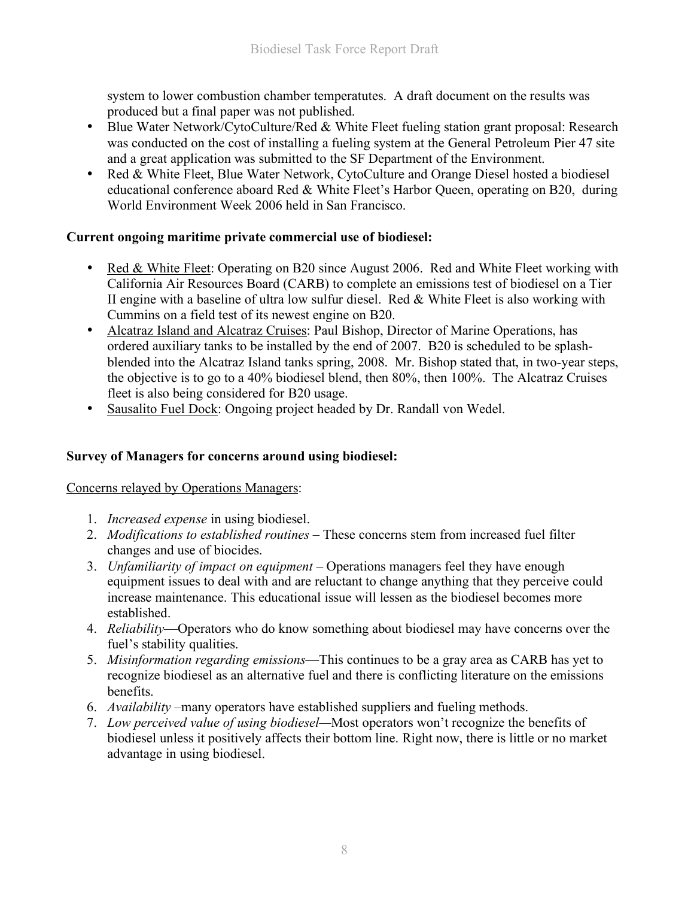system to lower combustion chamber temperatutes. A draft document on the results was produced but a final paper was not published.

- Blue Water Network/CytoCulture/Red & White Fleet fueling station grant proposal: Research was conducted on the cost of installing a fueling system at the General Petroleum Pier 47 site and a great application was submitted to the SF Department of the Environment.
- Red & White Fleet, Blue Water Network, CytoCulture and Orange Diesel hosted a biodiesel educational conference aboard Red & White Fleet's Harbor Queen, operating on B20, during World Environment Week 2006 held in San Francisco.

# **Current ongoing maritime private commercial use of biodiesel:**

- Red & White Fleet: Operating on B20 since August 2006. Red and White Fleet working with California Air Resources Board (CARB) to complete an emissions test of biodiesel on a Tier II engine with a baseline of ultra low sulfur diesel. Red & White Fleet is also working with Cummins on a field test of its newest engine on B20.
- Alcatraz Island and Alcatraz Cruises: Paul Bishop, Director of Marine Operations, has ordered auxiliary tanks to be installed by the end of 2007. B20 is scheduled to be splashblended into the Alcatraz Island tanks spring, 2008. Mr. Bishop stated that, in two-year steps, the objective is to go to a 40% biodiesel blend, then 80%, then 100%. The Alcatraz Cruises fleet is also being considered for B20 usage.
- Sausalito Fuel Dock: Ongoing project headed by Dr. Randall von Wedel.

# **Survey of Managers for concerns around using biodiesel:**

# Concerns relayed by Operations Managers:

- 1. *Increased expense* in using biodiesel.
- 2. *Modifications to established routines* These concerns stem from increased fuel filter changes and use of biocides.
- 3. *Unfamiliarity of impact on equipment* Operations managers feel they have enough equipment issues to deal with and are reluctant to change anything that they perceive could increase maintenance. This educational issue will lessen as the biodiesel becomes more established.
- 4. *Reliability*—Operators who do know something about biodiesel may have concerns over the fuel's stability qualities.
- 5. *Misinformation regarding emissions*—This continues to be a gray area as CARB has yet to recognize biodiesel as an alternative fuel and there is conflicting literature on the emissions benefits.
- 6. *Availability* –many operators have established suppliers and fueling methods.
- 7. *Low perceived value of using biodiesel—*Most operators won't recognize the benefits of biodiesel unless it positively affects their bottom line. Right now, there is little or no market advantage in using biodiesel.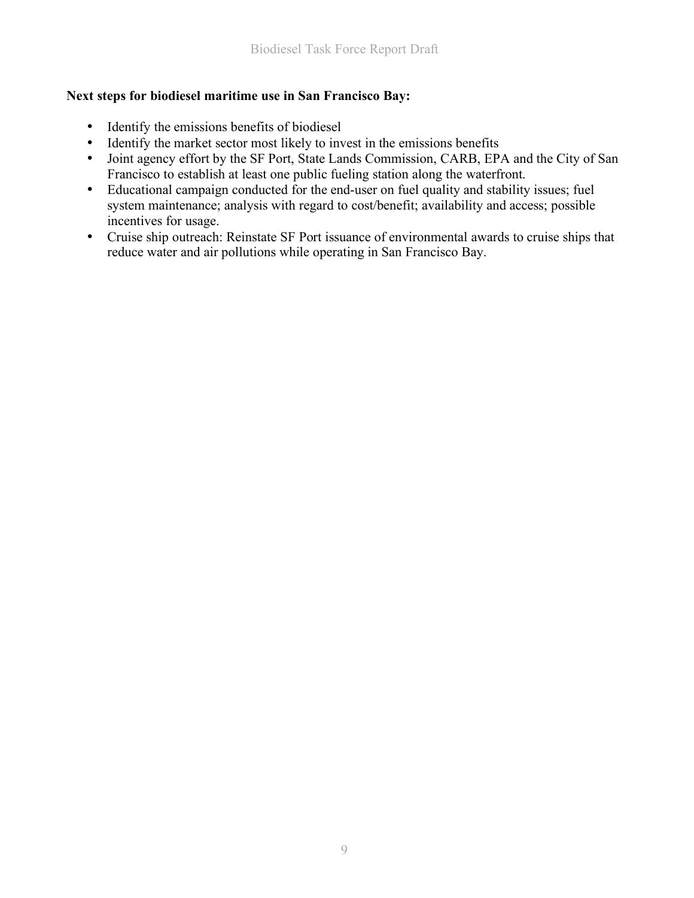### **Next steps for biodiesel maritime use in San Francisco Bay:**

- Identify the emissions benefits of biodiesel
- Identify the market sector most likely to invest in the emissions benefits
- Joint agency effort by the SF Port, State Lands Commission, CARB, EPA and the City of San Francisco to establish at least one public fueling station along the waterfront.
- Educational campaign conducted for the end-user on fuel quality and stability issues; fuel system maintenance; analysis with regard to cost/benefit; availability and access; possible incentives for usage.
- Cruise ship outreach: Reinstate SF Port issuance of environmental awards to cruise ships that reduce water and air pollutions while operating in San Francisco Bay.